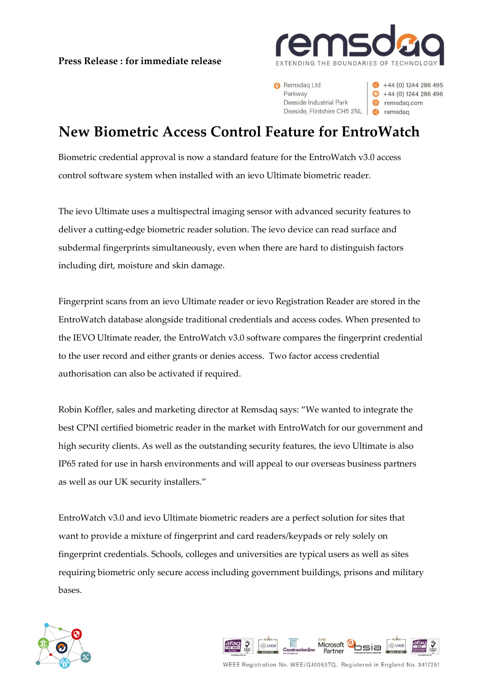**Press Release : for immediate release**



 $+44(0)$  1244 286 495

 $\bullet$  +44 (0) 1244 286 496

e remsdag.com

Remsdag Ltd Parkway Deeside Industrial Park Deeside, Flintshire CH5 2NL

**New Biometric Access Control Feature for EntroWatch**

Biometric credential approval is now a standard feature for the EntroWatch v3.0 access control software system when installed with an ievo Ultimate biometric reader.

The ievo Ultimate uses a multispectral imaging sensor with advanced security features to deliver a cutting-edge biometric reader solution. The ievo device can read surface and subdermal fingerprints simultaneously, even when there are hard to distinguish factors including dirt, moisture and skin damage.

Fingerprint scans from an ievo Ultimate reader or ievo Registration Reader are stored in the EntroWatch database alongside traditional credentials and access codes. When presented to the IEVO Ultimate reader, the EntroWatch v3.0 software compares the fingerprint credential to the user record and either grants or denies access. Two factor access credential authorisation can also be activated if required.

Robin Koffler, sales and marketing director at Remsdaq says: "We wanted to integrate the best CPNI certified biometric reader in the market with EntroWatch for our government and high security clients. As well as the outstanding security features, the ievo Ultimate is also IP65 rated for use in harsh environments and will appeal to our overseas business partners as well as our UK security installers."

EntroWatch v3.0 and ievo Ultimate biometric readers are a perfect solution for sites that want to provide a mixture of fingerprint and card readers/keypads or rely solely on fingerprint credentials. Schools, colleges and universities are typical users as well as sites requiring biometric only secure access including government buildings, prisons and military bases.





WEEE Registration No. WEE/GJ0053TQ. Registered in England No. 3417251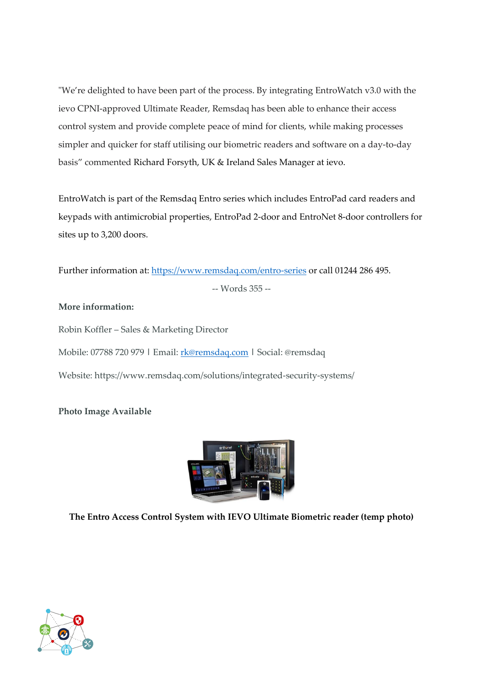"We're delighted to have been part of the process. By integrating EntroWatch v3.0 with the ievo CPNI-approved Ultimate Reader, Remsdaq has been able to enhance their access control system and provide complete peace of mind for clients, while making processes simpler and quicker for staff utilising our biometric readers and software on a day-to-day basis" commented Richard Forsyth, UK & Ireland Sales Manager at ievo.

EntroWatch is part of the Remsdaq Entro series which includes EntroPad card readers and keypads with antimicrobial properties, EntroPad 2-door and EntroNet 8-door controllers for sites up to 3,200 doors.

Further information at:<https://www.remsdaq.com/entro-series> or call 01244 286 495.

-- Words 355 --

## **More information:**

Robin Koffler – Sales & Marketing Director Mobile: 07788 720 979 **|** Email: [rk@remsdaq.com](mailto:rk@remsdaq.com) **|** Social: @remsdaq Website: https://www.remsdaq.com/solutions/integrated-security-systems/

## **Photo Image Available**



**The Entro Access Control System with IEVO Ultimate Biometric reader (temp photo)**